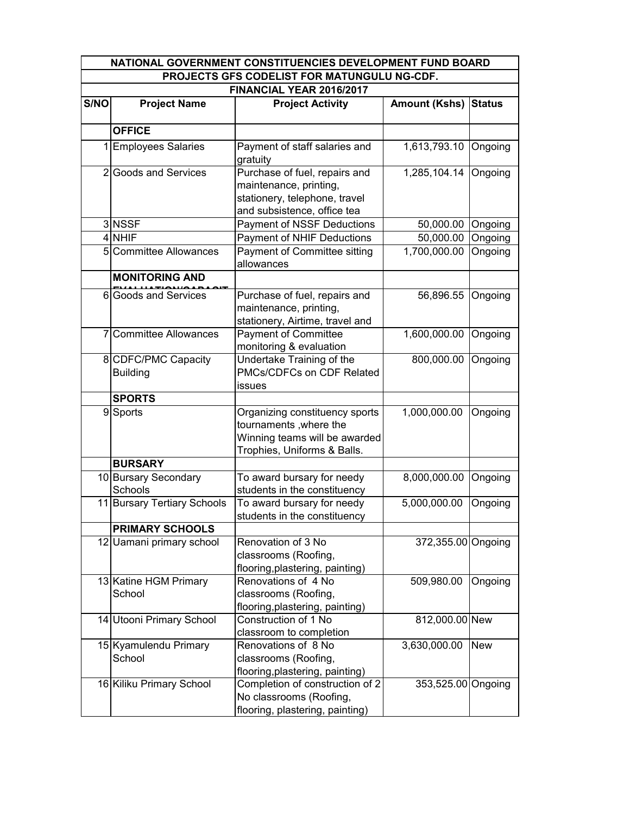| NATIONAL GOVERNMENT CONSTITUENCIES DEVELOPMENT FUND BOARD |                                        |                                                                                                                          |                      |               |  |  |  |  |  |  |
|-----------------------------------------------------------|----------------------------------------|--------------------------------------------------------------------------------------------------------------------------|----------------------|---------------|--|--|--|--|--|--|
| PROJECTS GFS CODELIST FOR MATUNGULU NG-CDF.               |                                        |                                                                                                                          |                      |               |  |  |  |  |  |  |
|                                                           | FINANCIAL YEAR 2016/2017               |                                                                                                                          |                      |               |  |  |  |  |  |  |
| S/NO                                                      | <b>Project Name</b>                    | <b>Project Activity</b>                                                                                                  | <b>Amount (Kshs)</b> | <b>Status</b> |  |  |  |  |  |  |
|                                                           |                                        |                                                                                                                          |                      |               |  |  |  |  |  |  |
|                                                           | <b>OFFICE</b>                          |                                                                                                                          |                      |               |  |  |  |  |  |  |
|                                                           | 1 Employees Salaries                   | Payment of staff salaries and<br>gratuity                                                                                | 1,613,793.10         | Ongoing       |  |  |  |  |  |  |
|                                                           | 2 Goods and Services                   | Purchase of fuel, repairs and<br>maintenance, printing,                                                                  | 1,285,104.14         | Ongoing       |  |  |  |  |  |  |
|                                                           |                                        | stationery, telephone, travel<br>and subsistence, office tea                                                             |                      |               |  |  |  |  |  |  |
|                                                           | 3 NSSF                                 | Payment of NSSF Deductions                                                                                               | 50,000.00            | Ongoing       |  |  |  |  |  |  |
|                                                           | 4 NHIF                                 | <b>Payment of NHIF Deductions</b>                                                                                        | 50,000.00            | Ongoing       |  |  |  |  |  |  |
|                                                           | 5 Committee Allowances                 | Payment of Committee sitting<br>allowances                                                                               | 1,700,000.00         | Ongoing       |  |  |  |  |  |  |
|                                                           | <b>MONITORING AND</b>                  |                                                                                                                          |                      |               |  |  |  |  |  |  |
|                                                           | 6 Goods and Services                   | Purchase of fuel, repairs and<br>maintenance, printing,<br>stationery, Airtime, travel and                               | 56,896.55            | Ongoing       |  |  |  |  |  |  |
| $\overline{7}$                                            | <b>Committee Allowances</b>            | <b>Payment of Committee</b><br>monitoring & evaluation                                                                   | 1,600,000.00         | Ongoing       |  |  |  |  |  |  |
|                                                           | 8 CDFC/PMC Capacity<br><b>Building</b> | Undertake Training of the<br>PMCs/CDFCs on CDF Related<br>issues                                                         | 800,000.00           | Ongoing       |  |  |  |  |  |  |
|                                                           | <b>SPORTS</b>                          |                                                                                                                          |                      |               |  |  |  |  |  |  |
|                                                           | 9 Sports                               | Organizing constituency sports<br>tournaments, where the<br>Winning teams will be awarded<br>Trophies, Uniforms & Balls. | 1,000,000.00         | Ongoing       |  |  |  |  |  |  |
|                                                           | <b>BURSARY</b>                         |                                                                                                                          |                      |               |  |  |  |  |  |  |
|                                                           | 10 Bursary Secondary<br>Schools        | To award bursary for needy<br>students in the constituency                                                               | 8,000,000.00         | Ongoing       |  |  |  |  |  |  |
|                                                           | 11 Bursary Tertiary Schools            | To award bursary for needy<br>students in the constituency                                                               | 5,000,000.00         | Ongoing       |  |  |  |  |  |  |
|                                                           | <b>PRIMARY SCHOOLS</b>                 |                                                                                                                          |                      |               |  |  |  |  |  |  |
|                                                           | 12 Uamani primary school               | Renovation of 3 No<br>classrooms (Roofing,<br>flooring, plastering, painting)                                            | 372,355.00 Ongoing   |               |  |  |  |  |  |  |
|                                                           | 13 Katine HGM Primary<br>School        | Renovations of 4 No<br>classrooms (Roofing,<br>flooring, plastering, painting)                                           | 509,980.00           | Ongoing       |  |  |  |  |  |  |
|                                                           | 14 Utooni Primary School               | Construction of 1 No<br>classroom to completion                                                                          | 812,000.00 New       |               |  |  |  |  |  |  |
|                                                           | 15 Kyamulendu Primary<br>School        | Renovations of 8 No<br>classrooms (Roofing,<br>flooring, plastering, painting)                                           | 3,630,000.00         | <b>New</b>    |  |  |  |  |  |  |
|                                                           | 16 Kiliku Primary School               | Completion of construction of 2<br>No classrooms (Roofing,<br>flooring, plastering, painting)                            | 353,525.00 Ongoing   |               |  |  |  |  |  |  |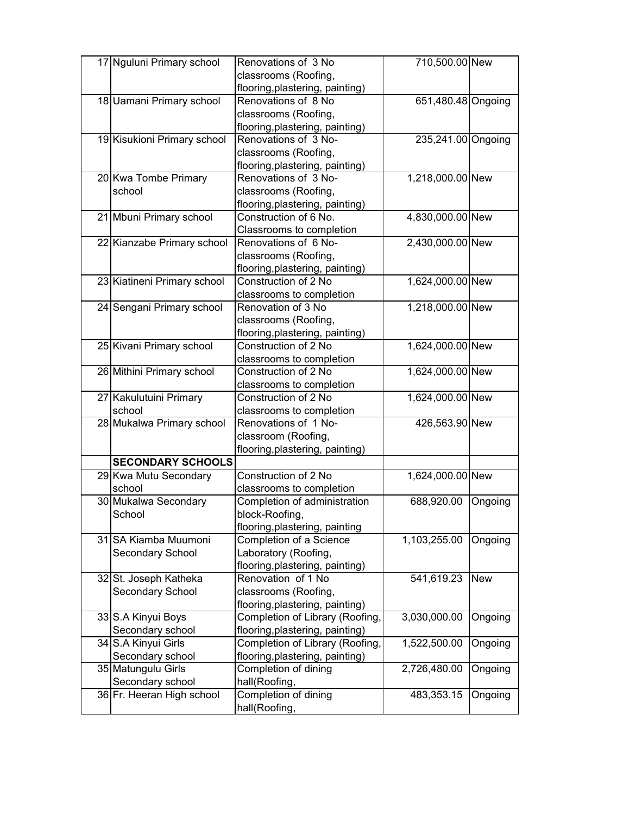|    | 17 Nguluni Primary school   | Renovations of 3 No                                     | 710,500.00 New     |            |
|----|-----------------------------|---------------------------------------------------------|--------------------|------------|
|    |                             | classrooms (Roofing,                                    |                    |            |
|    |                             | flooring, plastering, painting)                         |                    |            |
|    | 18 Uamani Primary school    | Renovations of 8 No                                     | 651,480.48 Ongoing |            |
|    |                             | classrooms (Roofing,                                    |                    |            |
|    |                             | flooring, plastering, painting)                         |                    |            |
|    | 19 Kisukioni Primary school | Renovations of 3 No-                                    | 235,241.00 Ongoing |            |
|    |                             | classrooms (Roofing,                                    |                    |            |
|    |                             | flooring, plastering, painting)                         |                    |            |
|    | 20 Kwa Tombe Primary        | Renovations of 3 No-                                    | 1,218,000.00 New   |            |
|    | school                      | classrooms (Roofing,                                    |                    |            |
|    |                             | flooring, plastering, painting)                         |                    |            |
|    | 21 Mbuni Primary school     | Construction of 6 No.                                   | 4,830,000.00 New   |            |
|    |                             | Classrooms to completion                                |                    |            |
|    | 22 Kianzabe Primary school  | Renovations of 6 No-                                    | 2,430,000.00 New   |            |
|    |                             | classrooms (Roofing,                                    |                    |            |
|    |                             |                                                         |                    |            |
|    |                             | flooring, plastering, painting)<br>Construction of 2 No |                    |            |
|    | 23 Kiatineni Primary school |                                                         | 1,624,000.00 New   |            |
|    |                             | classrooms to completion                                |                    |            |
|    | 24 Sengani Primary school   | Renovation of 3 No                                      | 1,218,000.00 New   |            |
|    |                             | classrooms (Roofing,                                    |                    |            |
|    |                             | flooring, plastering, painting)                         |                    |            |
|    | 25 Kivani Primary school    | Construction of 2 No                                    | 1,624,000.00 New   |            |
|    |                             | classrooms to completion                                |                    |            |
|    | 26 Mithini Primary school   | Construction of 2 No                                    | 1,624,000.00 New   |            |
|    |                             | classrooms to completion                                |                    |            |
|    | 27 Kakulutuini Primary      | Construction of 2 No                                    | 1,624,000.00 New   |            |
|    | school                      | classrooms to completion                                |                    |            |
|    | 28 Mukalwa Primary school   | Renovations of 1 No-                                    | 426,563.90 New     |            |
|    |                             | classroom (Roofing,                                     |                    |            |
|    |                             | flooring, plastering, painting)                         |                    |            |
|    | <b>SECONDARY SCHOOLS</b>    |                                                         |                    |            |
|    | 29 Kwa Mutu Secondary       | Construction of 2 No                                    | 1,624,000.00 New   |            |
|    | school                      | classrooms to completion                                |                    |            |
|    | 30 Mukalwa Secondary        | Completion of administration                            | 688,920.00         | Ongoing    |
|    | School                      | block-Roofing,                                          |                    |            |
|    |                             | flooring, plastering, painting                          |                    |            |
| 31 | SA Kiamba Muumoni           | Completion of a Science                                 | 1,103,255.00       | Ongoing    |
|    | Secondary School            | Laboratory (Roofing,                                    |                    |            |
|    |                             | flooring, plastering, painting)                         |                    |            |
|    | 32 St. Joseph Katheka       | Renovation of 1 No                                      | 541,619.23         | <b>New</b> |
|    | Secondary School            | classrooms (Roofing,                                    |                    |            |
|    |                             | flooring, plastering, painting)                         |                    |            |
|    | 33 S.A Kinyui Boys          | Completion of Library (Roofing,                         | 3,030,000.00       | Ongoing    |
|    | Secondary school            | flooring, plastering, painting)                         |                    |            |
|    | 34 S.A Kinyui Girls         | Completion of Library (Roofing,                         | 1,522,500.00       | Ongoing    |
|    | Secondary school            | flooring, plastering, painting)                         |                    |            |
|    | 35 Matungulu Girls          | Completion of dining                                    | 2,726,480.00       | Ongoing    |
|    | Secondary school            | hall(Roofing,                                           |                    |            |
|    | 36 Fr. Heeran High school   | Completion of dining                                    | 483,353.15         | Ongoing    |
|    |                             | hall(Roofing,                                           |                    |            |
|    |                             |                                                         |                    |            |